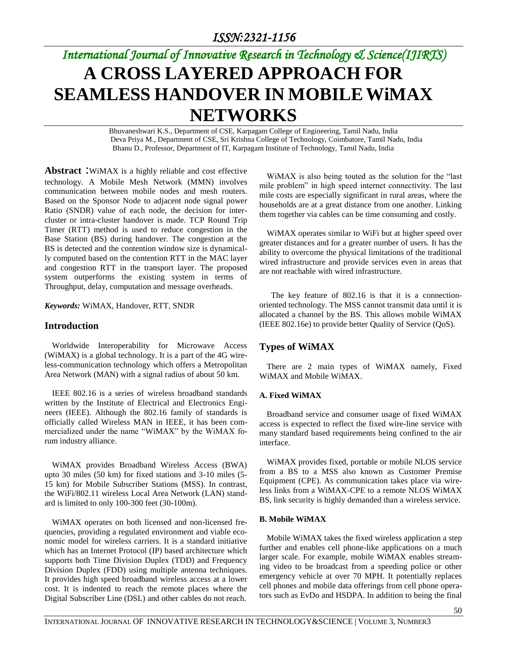# *International Journal of Innovative Research in Technology & Science(IJIRTS)* **A CROSS LAYERED APPROACH FOR SEAMLESS HANDOVER IN MOBILEWiMAX NETWORKS**

Bhuvaneshwari K.S., Department of CSE, Karpagam College of Engineering, Tamil Nadu, India Deva Priya M., Department of CSE, Sri Krishna College of Technology, Coimbatore, Tamil Nadu, India Bhanu D., Professor, Department of IT, Karpagam Institute of Technology, Tamil Nadu, India

**Abstract** :WiMAX is a highly reliable and cost effective technology. A Mobile Mesh Network (MMN) involves communication between mobile nodes and mesh routers. Based on the Sponsor Node to adjacent node signal power Ratio (SNDR) value of each node, the decision for intercluster or intra-cluster handover is made. TCP Round Trip Timer (RTT) method is used to reduce congestion in the Base Station (BS) during handover. The congestion at the BS is detected and the contention window size is dynamically computed based on the contention RTT in the MAC layer and congestion RTT in the transport layer. The proposed system outperforms the existing system in terms of Throughput, delay, computation and message overheads.

*Keywords:* WiMAX, Handover, RTT, SNDR

### **Introduction**

Worldwide Interoperability for Microwave Access (WiMAX) is a global technology. It is a part of the 4G wireless-communication technology which offers a Metropolitan Area Network (MAN) with a signal radius of about 50 km.

IEEE 802.16 is a series of [wireless broadband](http://en.wikipedia.org/wiki/Wireless_Broadband) standards written by the [Institute of Electrical and Electronics Engi](http://en.wikipedia.org/wiki/Institute_of_Electrical_and_Electronics_Engineers)[neers](http://en.wikipedia.org/wiki/Institute_of_Electrical_and_Electronics_Engineers) (IEEE). Although the 802.16 family of standards is officially called Wireless MAN in IEEE, it has been commercialized under the name ["WiMAX"](http://en.wikipedia.org/wiki/WiMAX) by the WiMAX forum industry alliance.

WiMAX provides Broadband Wireless Access (BWA) upto 30 miles (50 km) for fixed stations and 3-10 miles (5- 15 km) for Mobile Subscriber Stations (MSS). In contrast, the WiFi/802.11 wireless Local Area Network (LAN) standard is limited to only 100-300 feet (30-100m).

WiMAX operates on both licensed and non-licensed frequencies, providing a regulated environment and viable economic model for wireless carriers. It is a standard initiative which has an Internet Protocol (IP) based architecture which supports both Time Division Duplex (TDD) and Frequency Division Duplex (FDD) using multiple antenna techniques. It provides high speed broadband wireless access at a lower cost. It is indented to reach the remote places where the Digital Subscriber Line (DSL) and other cables do not reach.

WiMAX is also being touted as the solution for the "last mile problem" in high speed internet connectivity. The last mile costs are especially significant in rural areas, where the households are at a great distance from one another. Linking them together via cables can be time consuming and costly.

WiMAX operates similar to WiFi but at higher speed over greater distances and for a greater number of users. It has the ability to overcome the physical limitations of the traditional wired infrastructure and provide services even in areas that are not reachable with wired infrastructure.

The key feature of 802.16 is that it is a [connection](http://en.wikipedia.org/wiki/Connection_oriented)[oriented](http://en.wikipedia.org/wiki/Connection_oriented) technology. The MSS cannot transmit data until it is allocated a channel by the BS. This allows mobile WiMAX (IEEE 802.16e) to provide better Quality of Service (QoS).

## **Types of WiMAX**

There are 2 main types of WiMAX namely, Fixed WiMAX and Mobile WiMAX.

#### **A. Fixed WiMAX**

Broadband service and consumer usage of fixed WiMAX access is expected to reflect the fixed wire-line service with many standard based requirements being confined to the air interface.

WiMAX provides fixed, portable or mobile NLOS service from a BS to a MSS also known as Customer Premise Equipment (CPE). As communication takes place via wireless links from a WiMAX-CPE to a remote NLOS WiMAX BS, link security is highly demanded than a wireless service.

#### **B. Mobile WiMAX**

Mobile WiMAX takes the fixed wireless application a step further and enables cell phone-like applications on a much larger scale. For example, mobile WiMAX enables streaming video to be broadcast from a speeding police or other emergency vehicle at over 70 MPH. It potentially replaces cell phones and mobile data offerings from cell phone operators such as EvDo and HSDPA. In addition to being the final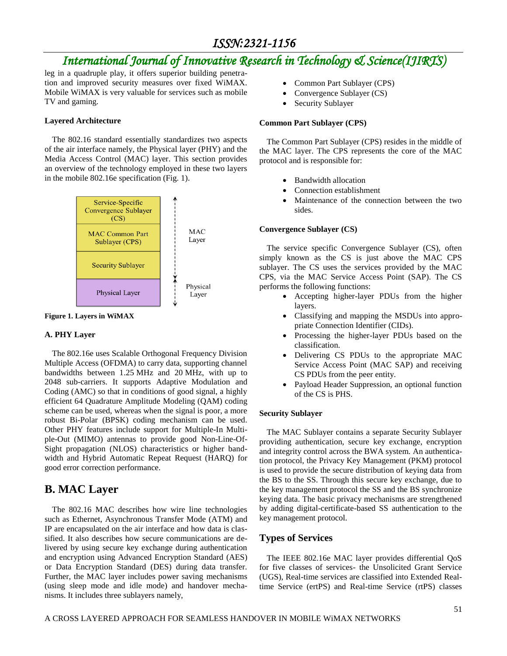# *International Journal of Innovative Research in Technology & Science(IJIRTS)*

leg in a quadruple play, it offers superior building penetration and improved security measures over fixed WiMAX. Mobile WiMAX is very valuable for services such as mobile TV and gaming.

#### **Layered Architecture**

The 802.16 standard essentially standardizes two aspects of the air interface namely, the Physical layer (PHY) and the [Media Access](http://en.wikipedia.org/wiki/Media_Access_Control) Control (MAC) layer. This section provides an overview of the technology employed in these two layers in the mobile 802.16e specification (Fig. 1).



**Figure 1. Layers in WiMAX**

#### **A. PHY Layer**

The 802.16e uses Scalable Orthogonal Frequency Division Multiple Access (OFDMA) to carry data, supporting channel bandwidths between 1.25 MHz and 20 MHz, with up to 2048 sub-carriers. It supports [Adaptive Modulation](http://en.wikipedia.org/wiki/Adaptive_modulation) and Coding (AMC) so that in conditions of good signal, a highly efficient 64 Quadrature Amplitude Modeling [\(QAM\)](http://en.wikipedia.org/wiki/QAM) coding scheme can be used, whereas when the signal is poor, a more robust Bi-Polar [\(BPSK\)](http://en.wikipedia.org/wiki/BPSK) coding mechanism can be used. Other PHY features include support for [Multiple-In Multi](http://en.wikipedia.org/wiki/Multiple-input_multiple-output_communications)[ple-Out](http://en.wikipedia.org/wiki/Multiple-input_multiple-output_communications) (MIMO) antennas to provide good [Non-Line-Of-](http://en.wikipedia.org/wiki/Non-line-of-sight_propagation)[Sight propagation](http://en.wikipedia.org/wiki/Non-line-of-sight_propagation) (NLOS) characteristics or higher bandwidth and [Hybrid Automatic Repeat Request](http://en.wikipedia.org/wiki/Hybrid_ARQ) (HARQ) for good error correction performance.

## **B. MAC Layer**

The 802.16 MAC describes how wire line technologies such as [Ethernet,](http://en.wikipedia.org/wiki/Ethernet) [Asynchronous Transfer Mode](http://en.wikipedia.org/wiki/Asynchronous_Transfer_Mode) (ATM) and IP are encapsulated on the air interface and how data is classified. It also describes how secure communications are delivered by using secure key exchange during authentication and encryption using [Advanced Encryption Standard](http://en.wikipedia.org/wiki/Advanced_Encryption_Standard) (AES) or [Data Encryption](http://en.wikipedia.org/wiki/Data_Encryption_Standard) Standard (DES) during data transfer. Further, the MAC layer includes power saving mechanisms (using sleep mode and idle mode) and handover mechanisms. It includes three sublayers namely,

- Common Part Sublayer (CPS)
- Convergence Sublayer (CS)
- Security Sublayer

#### **Common Part Sublayer (CPS)**

The Common Part Sublayer (CPS) resides in the middle of the MAC layer. The CPS represents the core of the MAC protocol and is responsible for:

- Bandwidth allocation
- Connection establishment
- Maintenance of the connection between the two sides.

#### **Convergence Sublayer (CS)**

The service specific Convergence Sublayer (CS), often simply known as the CS is just above the MAC CPS sublayer. The CS uses the services provided by the MAC CPS, via the MAC Service Access Point (SAP). The CS performs the following functions:

- Accepting higher-layer PDUs from the higher layers.
- Classifying and mapping the MSDUs into appropriate Connection Identifier (CIDs).
- Processing the higher-layer PDUs based on the classification.
- Delivering CS PDUs to the appropriate MAC Service Access Point (MAC SAP) and receiving CS PDUs from the peer entity.
- Payload Header Suppression, an optional function of the CS is PHS.

#### **Security Sublayer**

The MAC Sublayer contains a separate Security Sublayer providing authentication, secure key exchange, encryption and integrity control across the BWA system. An authentication protocol, the Privacy Key Management (PKM) protocol is used to provide the secure distribution of keying data from the BS to the SS. Through this secure key exchange, due to the key management protocol the SS and the BS synchronize keying data. The basic privacy mechanisms are strengthened by adding digital-certificate-based SS authentication to the key management protocol.

### **Types of Services**

The IEEE 802.16e MAC layer provides differential QoS for five classes of services- the Unsolicited Grant Service (UGS), Real-time services are classified into Extended Realtime Service (ertPS) and Real-time Service (rtPS) classes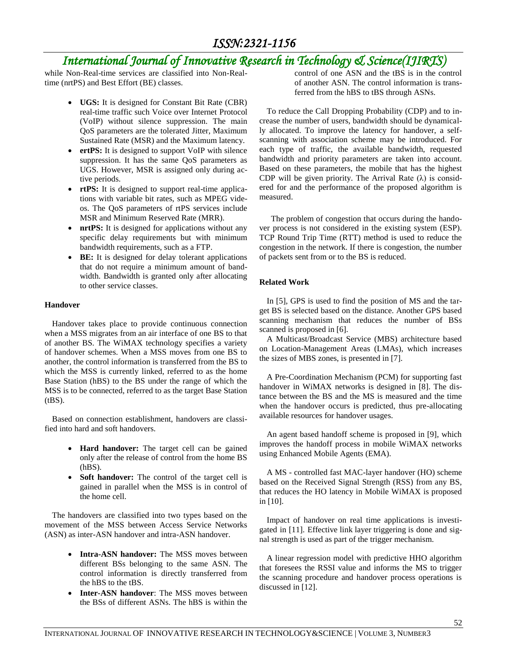# *International Journal of Innovative Research in Technology & Science(IJIRTS)*

while Non-Real-time services are classified into Non-Realtime (nrtPS) and Best Effort (BE) classes.

- **UGS:** It is designed for Constant Bit Rate (CBR) real-time traffic such Voice over Internet Protocol (VoIP) without silence suppression. The main QoS parameters are the tolerated Jitter, Maximum Sustained Rate (MSR) and the Maximum latency.
- **ertPS:** It is designed to support VoIP with silence suppression. It has the same QoS parameters as UGS. However, MSR is assigned only during active periods.
- **rtPS:** It is designed to support real-time applications with variable bit rates, such as MPEG videos. The QoS parameters of rtPS services include MSR and Minimum Reserved Rate (MRR).
- **nrtPS:** It is designed for applications without any specific delay requirements but with minimum bandwidth requirements, such as a FTP.
- **BE:** It is designed for delay tolerant applications that do not require a minimum amount of bandwidth. Bandwidth is granted only after allocating to other service classes.

#### **Handover**

Handover takes place to provide continuous connection when a MSS migrates from an air interface of one BS to that of another BS. The WiMAX technology specifies a variety of handover schemes. When a MSS moves from one BS to another, the control information is transferred from the BS to which the MSS is currently linked, referred to as the home Base Station (hBS) to the BS under the range of which the MSS is to be connected, referred to as the target Base Station  $(tBS)$ .

Based on connection establishment, handovers are classified into hard and soft handovers.

- **Hard handover:** The target cell can be gained only after the release of control from the home BS (hBS).
- **Soft handover:** The control of the target cell is gained in parallel when the MSS is in control of the home cell.

The handovers are classified into two types based on the movement of the MSS between Access Service Networks (ASN) as inter-ASN handover and intra-ASN handover.

- **Intra-ASN handover:** The MSS moves between different BSs belonging to the same ASN. The control information is directly transferred from the hBS to the tBS.
- **Inter-ASN handover**: The MSS moves between the BSs of different ASNs. The hBS is within the

control of one ASN and the tBS is in the control of another ASN. The control information is transferred from the hBS to tBS through ASNs.

To reduce the Call Dropping Probability (CDP) and to increase the number of users, bandwidth should be dynamically allocated. To improve the latency for handover, a selfscanning with association scheme may be introduced. For each type of traffic, the available bandwidth, requested bandwidth and priority parameters are taken into account. Based on these parameters, the mobile that has the highest CDP will be given priority. The Arrival Rate  $(\lambda)$  is considered for and the performance of the proposed algorithm is measured.

The problem of congestion that occurs during the handover process is not considered in the existing system (ESP). TCP Round Trip Time (RTT) method is used to reduce the congestion in the network. If there is congestion, the number of packets sent from or to the BS is reduced.

#### **Related Work**

In [5], GPS is used to find the position of MS and the target BS is selected based on the distance. Another GPS based scanning mechanism that reduces the number of BSs scanned is proposed in [6].

A Multicast/Broadcast Service (MBS) architecture based on Location-Management Areas (LMAs), which increases the sizes of MBS zones, is presented in [7].

A Pre-Coordination Mechanism (PCM) for supporting fast handover in WiMAX networks is designed in [8]. The distance between the BS and the MS is measured and the time when the handover occurs is predicted, thus pre-allocating available resources for handover usages.

An agent based handoff scheme is proposed in [9], which improves the handoff process in mobile WiMAX networks using Enhanced Mobile Agents (EMA).

A MS - controlled fast MAC-layer handover (HO) scheme based on the Received Signal Strength (RSS) from any BS, that reduces the HO latency in Mobile WiMAX is proposed in [10].

Impact of handover on real time applications is investigated in [11]. Effective link layer triggering is done and signal strength is used as part of the trigger mechanism.

A linear regression model with predictive HHO algorithm that foresees the RSSI value and informs the MS to trigger the scanning procedure and handover process operations is discussed in [12].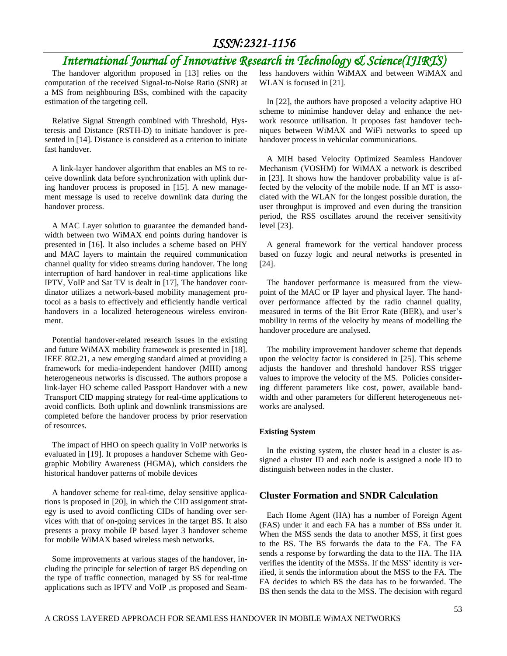# *International Journal of Innovative Research in Technology & Science(IJIRTS)*

The handover algorithm proposed in [13] relies on the computation of the received Signal-to-Noise Ratio (SNR) at a MS from neighbouring BSs, combined with the capacity estimation of the targeting cell.

Relative Signal Strength combined with Threshold, Hysteresis and Distance (RSTH-D) to initiate handover is presented in [14]. Distance is considered as a criterion to initiate fast handover.

A link-layer handover algorithm that enables an MS to receive downlink data before synchronization with uplink during handover process is proposed in [15]. A new management message is used to receive downlink data during the handover process.

A MAC Layer solution to guarantee the demanded bandwidth between two WiMAX end points during handover is presented in [16]. It also includes a scheme based on PHY and MAC layers to maintain the required communication channel quality for video streams during handover. The long interruption of hard handover in real-time applications like IPTV, VoIP and Sat TV is dealt in [17], The handover coordinator utilizes a network-based mobility management protocol as a basis to effectively and efficiently handle vertical handovers in a localized heterogeneous wireless environment.

Potential handover-related research issues in the existing and future WiMAX mobility framework is presented in [18]. IEEE 802.21, a new emerging standard aimed at providing a framework for media-independent handover (MIH) among heterogeneous networks is discussed. The authors propose a link-layer HO scheme called Passport Handover with a new Transport CID mapping strategy for real-time applications to avoid conflicts. Both uplink and downlink transmissions are completed before the handover process by prior reservation of resources.

The impact of HHO on speech quality in VoIP networks is evaluated in [19]. It proposes a handover Scheme with Geographic Mobility Awareness (HGMA), which considers the historical handover patterns of mobile devices

A handover scheme for real-time, delay sensitive applications is proposed in [20], in which the CID assignment strategy is used to avoid conflicting CIDs of handing over services with that of on-going services in the target BS. It also presents a proxy mobile IP based layer 3 handover scheme for mobile WiMAX based wireless mesh networks.

Some improvements at various stages of the handover, including the principle for selection of target BS depending on the type of traffic connection, managed by SS for real-time applications such as IPTV and VoIP ,is proposed and Seamless handovers within WiMAX and between WiMAX and WLAN is focused in [21].

In [22], the authors have proposed a velocity adaptive HO scheme to minimise handover delay and enhance the network resource utilisation. It proposes fast handover techniques between WiMAX and WiFi networks to speed up handover process in vehicular communications.

A MIH based Velocity Optimized Seamless Handover Mechanism (VOSHM) for WiMAX a network is described in [23]. It shows how the handover probability value is affected by the velocity of the mobile node. If an MT is associated with the WLAN for the longest possible duration, the user throughput is improved and even during the transition period, the RSS oscillates around the receiver sensitivity level [23].

A general framework for the vertical handover process based on fuzzy logic and neural networks is presented in [24].

The handover performance is measured from the viewpoint of the MAC or IP layer and physical layer. The handover performance affected by the radio channel quality, measured in terms of the Bit Error Rate (BER), and user's mobility in terms of the velocity by means of modelling the handover procedure are analysed.

The mobility improvement handover scheme that depends upon the velocity factor is considered in [25]. This scheme adjusts the handover and threshold handover RSS trigger values to improve the velocity of the MS. Policies considering different parameters like cost, power, available bandwidth and other parameters for different heterogeneous networks are analysed.

#### **Existing System**

In the existing system, the cluster head in a cluster is assigned a cluster ID and each node is assigned a node ID to distinguish between nodes in the cluster.

### **Cluster Formation and SNDR Calculation**

Each Home Agent (HA) has a number of Foreign Agent (FAS) under it and each FA has a number of BSs under it. When the MSS sends the data to another MSS, it first goes to the BS. The BS forwards the data to the FA. The FA sends a response by forwarding the data to the HA. The HA verifies the identity of the MSSs. If the MSS' identity is verified, it sends the information about the MSS to the FA. The FA decides to which BS the data has to be forwarded. The BS then sends the data to the MSS. The decision with regard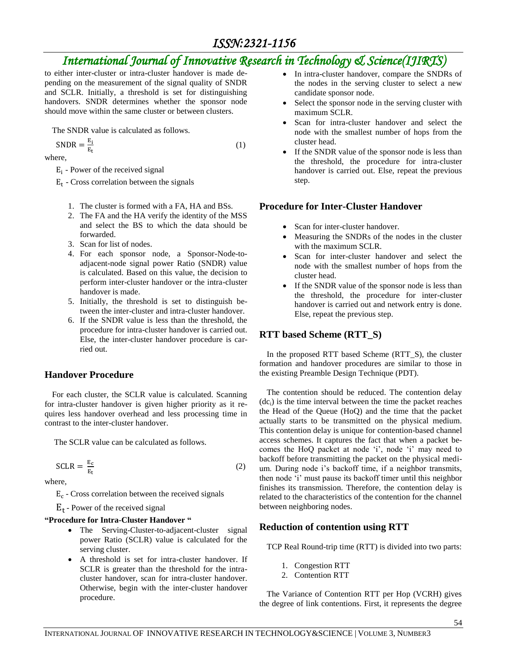# *International Journal of Innovative Research in Technology & Science(IJIRTS)*

(1)

to either inter-cluster or intra-cluster handover is made depending on the measurement of the signal quality of SNDR and SCLR. Initially, a threshold is set for distinguishing handovers. SNDR determines whether the sponsor node should move within the same cluster or between clusters.

The SNDR value is calculated as follows.

 $SNDR = \frac{E}{E}$ E

where,

 $E_i$  - Power of the received signal

 $E_t$  - Cross correlation between the signals

- 1. The cluster is formed with a FA, HA and BSs.
- 2. The FA and the HA verify the identity of the MSS and select the BS to which the data should be forwarded.
- 3. Scan for list of nodes.
- 4. For each sponsor node, a Sponsor-Node-toadjacent-node signal power Ratio (SNDR) value is calculated. Based on this value, the decision to perform inter-cluster handover or the intra-cluster handover is made.
- 5. Initially, the threshold is set to distinguish between the inter-cluster and intra-cluster handover.
- 6. If the SNDR value is less than the threshold, the procedure for intra-cluster handover is carried out. Else, the inter-cluster handover procedure is carried out.

## **Handover Procedure**

For each cluster, the SCLR value is calculated. Scanning for intra-cluster handover is given higher priority as it requires less handover overhead and less processing time in contrast to the inter-cluster handover.

The SCLR value can be calculated as follows.

$$
SCLR = \frac{E_c}{E_t} \tag{2}
$$

where,

 $E_c$  - Cross correlation between the received signals

 $E_t$  - Power of the received signal

### **"Procedure for Intra-Cluster Handover "**

- The Serving-Cluster-to-adjacent-cluster signal power Ratio (SCLR) value is calculated for the serving cluster.
- A threshold is set for intra-cluster handover. If SCLR is greater than the threshold for the intracluster handover, scan for intra-cluster handover. Otherwise, begin with the inter-cluster handover procedure.
- In intra-cluster handover, compare the SNDRs of the nodes in the serving cluster to select a new candidate sponsor node.
- Select the sponsor node in the serving cluster with maximum SCLR.
- Scan for intra-cluster handover and select the node with the smallest number of hops from the cluster head.
- If the SNDR value of the sponsor node is less than the threshold, the procedure for intra-cluster handover is carried out. Else, repeat the previous step.

## **Procedure for Inter-Cluster Handover**

- Scan for inter-cluster handover.
- Measuring the SNDRs of the nodes in the cluster with the maximum SCLR.
- Scan for inter-cluster handover and select the node with the smallest number of hops from the cluster head.
- If the SNDR value of the sponsor node is less than the threshold, the procedure for inter-cluster handover is carried out and network entry is done. Else, repeat the previous step.

## **RTT based Scheme (RTT\_S)**

In the proposed RTT based Scheme (RTT\_S), the cluster formation and handover procedures are similar to those in the existing Preamble Design Technique (PDT).

The contention should be reduced. The contention delay  $(dc<sub>i</sub>)$  is the time interval between the time the packet reaches the Head of the Queue (HoQ) and the time that the packet actually starts to be transmitted on the physical medium. This contention delay is unique for contention-based channel access schemes. It captures the fact that when a packet becomes the HoQ packet at node 'i', node 'i' may need to backoff before transmitting the packet on the physical medium. During node i's backoff time, if a neighbor transmits, then node 'i' must pause its backoff timer until this neighbor finishes its transmission. Therefore, the contention delay is related to the characteristics of the contention for the channel between neighboring nodes.

## **Reduction of contention using RTT**

TCP Real Round-trip time (RTT) is divided into two parts:

- 1. Congestion RTT
- 2. Contention RTT

The Variance of Contention RTT per Hop (VCRH) gives the degree of link contentions. First, it represents the degree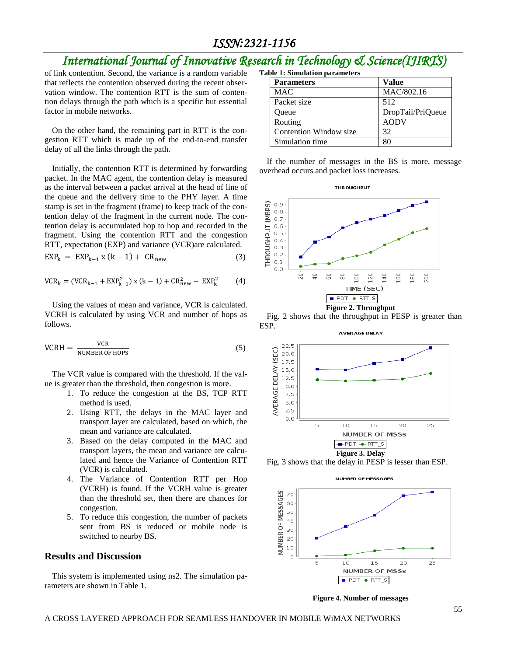# *International Journal of Innovative Research in Technology & Science(IJIRTS)*

of link contention. Second, the variance is a random variable that reflects the contention observed during the recent observation window. The contention RTT is the sum of contention delays through the path which is a specific but essential factor in mobile networks.

On the other hand, the remaining part in RTT is the congestion RTT which is made up of the end-to-end transfer delay of all the links through the path.

Initially, the contention RTT is determined by forwarding packet. In the MAC agent, the contention delay is measured as the interval between a packet arrival at the head of line of the queue and the delivery time to the PHY layer. A time stamp is set in the fragment (frame) to keep track of the contention delay of the fragment in the current node. The contention delay is accumulated hop to hop and recorded in the fragment. Using the contention RTT and the congestion RTT, expectation (EXP) and variance (VCR)are calculated.

$$
EXPk = EXPk-1 x (k-1) + CRnew
$$
 (3)

$$
VCR_k = (VCR_{k-1} + EXP_{k-1}^2) \times (k-1) + CR_{new}^2 - EXP_k^2 \tag{4}
$$

Using the values of mean and variance, VCR is calculated. VCRH is calculated by using VCR and number of hops as follows.

$$
VCRH = \frac{VCR}{NUMBER OF HOPS}
$$
 (5)

The VCR value is compared with the threshold. If the value is greater than the threshold, then congestion is more.

- 1. To reduce the congestion at the BS, TCP RTT method is used.
- 2. Using RTT, the delays in the MAC layer and transport layer are calculated, based on which, the mean and variance are calculated.
- 3. Based on the delay computed in the MAC and transport layers, the mean and variance are calculated and hence the Variance of Contention RTT (VCR) is calculated.
- 4. The Variance of Contention RTT per Hop (VCRH) is found. If the VCRH value is greater than the threshold set, then there are chances for congestion.
- 5. To reduce this congestion, the number of packets sent from BS is reduced or mobile node is switched to nearby BS.

#### **Results and Discussion**

This system is implemented using ns2. The simulation parameters are shown in Table 1.

| <b>Table 1: Simulation parameters</b> |                   |
|---------------------------------------|-------------------|
| <b>Parameters</b>                     | Value             |
| <b>MAC</b>                            | MAC/802.16        |
| Packet size                           | 512               |
| Oueue                                 | DropTail/PriQueue |
| Routing                               | <b>AODV</b>       |
| Contention Window size                | 32                |
| Simulation time                       | 80                |

If the number of messages in the BS is more, message overhead occurs and packet loss increases.



Fig. 2 shows that the throughput in PESP is greater than ESP.



Fig. 3 shows that the delay in PESP is lesser than ESP.



**Figure 4. Number of messages**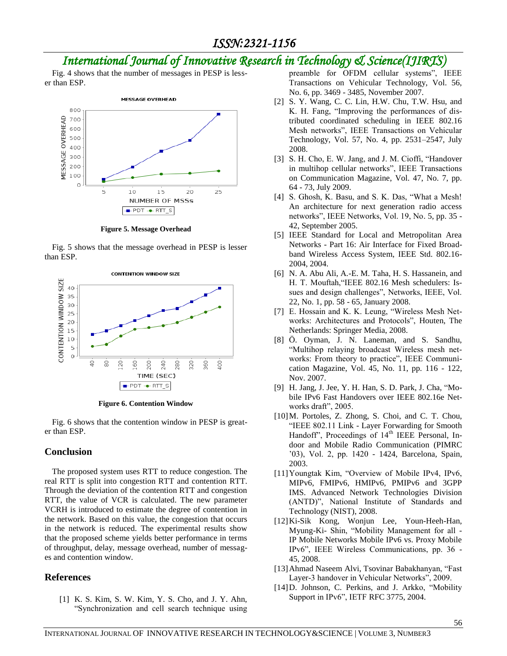# *International Journal of Innovative Research in Technology & Science(IJIRTS)*

Fig. 4 shows that the number of messages in PESP is lesser than ESP.



**Figure 5. Message Overhead**

Fig. 5 shows that the message overhead in PESP is lesser than ESP.



**Figure 6. Contention Window**

Fig. 6 shows that the contention window in PESP is greater than ESP.

### **Conclusion**

The proposed system uses RTT to reduce congestion. The real RTT is split into congestion RTT and contention RTT. Through the deviation of the contention RTT and congestion RTT, the value of VCR is calculated. The new parameter VCRH is introduced to estimate the degree of contention in the network. Based on this value, the congestion that occurs in the network is reduced. The experimental results show that the proposed scheme yields better performance in terms of throughput, delay, message overhead, number of messages and contention window.

## **References**

[1] K. S. Kim, S. W. Kim, Y. S. Cho, and J. Y. Ahn, "Synchronization and cell search technique using preamble for OFDM cellular systems", IEEE Transactions on Vehicular Technology, Vol. 56, No. 6, pp. 3469 - 3485, November 2007.

- [2] S. Y. Wang, C. C. Lin, H.W. Chu, T.W. Hsu, and K. H. Fang, "Improving the performances of distributed coordinated scheduling in IEEE 802.16 Mesh networks", IEEE Transactions on Vehicular Technology, Vol. 57, No. 4, pp. 2531–2547, July 2008.
- [3] S. H. Cho, E. W. Jang, and J. M. Cioffi, "Handover in multihop cellular networks", IEEE Transactions on Communication Magazine, Vol. 47, No. 7, pp. 64 - 73, July 2009.
- [4] S. Ghosh, K. Basu, and S. K. Das, "What a Mesh! An architecture for next generation radio access networks", IEEE Networks, Vol. 19, No. 5, pp. 35 - 42, September 2005.
- [5] IEEE Standard for Local and Metropolitan Area Networks - Part 16: Air Interface for Fixed Broadband Wireless Access System, IEEE Std. 802.16- 2004, 2004.
- [6] N. A. Abu Ali, A.-E. M. Taha, H. S. Hassanein, and H. T. Mouftah,"IEEE 802.16 Mesh schedulers: Issues and design challenges", Networks, IEEE, Vol. 22, No. 1, pp. 58 - 65, January 2008.
- [7] E. Hossain and K. K. Leung, "Wireless Mesh Networks: Architectures and Protocols", Houten, The Netherlands: Springer Media, 2008.
- [8] Ö. Oyman, J. N. Laneman, and S. Sandhu, "Multihop relaying broadcast Wireless mesh networks: From theory to practice", IEEE Communication Magazine, Vol. 45, No. 11, pp. 116 - 122, Nov. 2007.
- [9] H. Jang, J. Jee, Y. H. Han, S. D. Park, J. Cha, "Mobile IPv6 Fast Handovers over IEEE 802.16e Networks draft", 2005.
- [10]M. Portoles, Z. Zhong, S. Choi, and C. T. Chou, "IEEE 802.11 Link - Layer Forwarding for Smooth Handoff", Proceedings of 14<sup>th</sup> IEEE Personal, Indoor and Mobile Radio Communication (PIMRC '03), Vol. 2, pp. 1420 - 1424, Barcelona, Spain, 2003.
- [11]Youngtak Kim, "Overview of Mobile IPv4, IPv6, MIPv6, FMIPv6, HMIPv6, PMIPv6 and 3GPP IMS. Advanced Network Technologies Division (ANTD)", National Institute of Standards and Technology (NIST), 2008.
- [12]Ki-Sik Kong, Wonjun Lee, Youn-Heeh-Han, Myung-Ki- Shin, "Mobility Management for all - IP Mobile Networks Mobile IPv6 vs. Proxy Mobile IPv6", IEEE Wireless Communications, pp. 36 - 45, 2008.
- [13]Ahmad Naseem Alvi, Tsovinar Babakhanyan, "Fast Layer-3 handover in Vehicular Networks", 2009.
- [14]D. Johnson, C. Perkins, and J. Arkko, "Mobility Support in IPv6", IETF RFC 3775, 2004.

INTERNATIONAL JOURNAL OF INNOVATIVE RESEARCH IN TECHNOLOGY&SCIENCE | VOLUME 3, NUMBER3